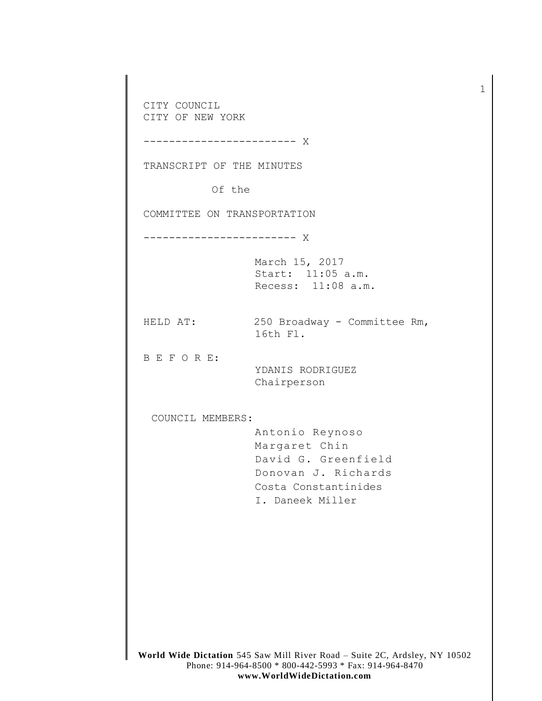CITY COUNCIL CITY OF NEW YORK

------------------------ X

TRANSCRIPT OF THE MINUTES

Of the

COMMITTEE ON TRANSPORTATION

------------------------ X

March 15, 2017 Start: 11:05 a.m. Recess: 11:08 a.m.

HELD AT: 250 Broadway - Committee Rm, 16th Fl.

B E F O R E:

YDANIS RODRIGUEZ Chairperson

COUNCIL MEMBERS:

Antonio Reynoso Margaret Chin David G. Greenfield Donovan J. Richards Costa Constantinides I. Daneek Miller

**World Wide Dictation** 545 Saw Mill River Road – Suite 2C, Ardsley, NY 10502 Phone: 914-964-8500 \* 800-442-5993 \* Fax: 914-964-8470 **www.WorldWideDictation.com**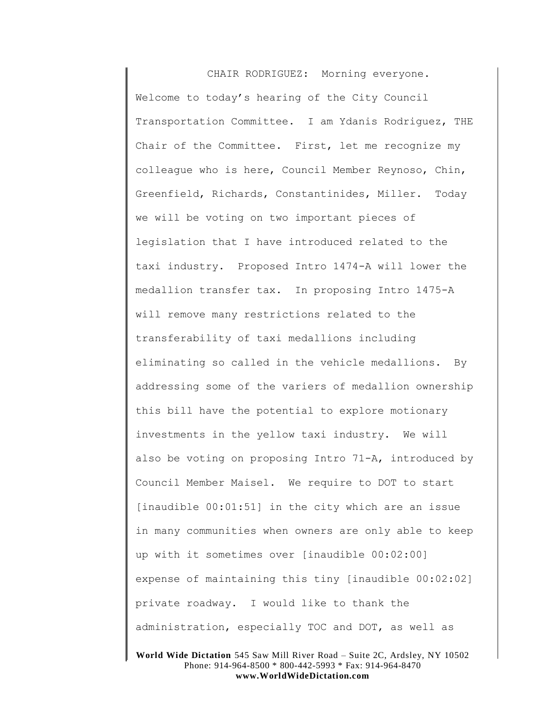CHAIR RODRIGUEZ: Morning everyone. Welcome to today's hearing of the City Council Transportation Committee. I am Ydanis Rodriguez, THE Chair of the Committee. First, let me recognize my colleague who is here, Council Member Reynoso, Chin, Greenfield, Richards, Constantinides, Miller. Today we will be voting on two important pieces of legislation that I have introduced related to the taxi industry. Proposed Intro 1474-A will lower the medallion transfer tax. In proposing Intro 1475-A will remove many restrictions related to the transferability of taxi medallions including eliminating so called in the vehicle medallions. By addressing some of the variers of medallion ownership this bill have the potential to explore motionary investments in the yellow taxi industry. We will also be voting on proposing Intro 71-A, introduced by Council Member Maisel. We require to DOT to start [inaudible 00:01:51] in the city which are an issue in many communities when owners are only able to keep up with it sometimes over [inaudible 00:02:00] expense of maintaining this tiny [inaudible 00:02:02] private roadway. I would like to thank the administration, especially TOC and DOT, as well as

**World Wide Dictation** 545 Saw Mill River Road – Suite 2C, Ardsley, NY 10502 Phone: 914-964-8500 \* 800-442-5993 \* Fax: 914-964-8470 **www.WorldWideDictation.com**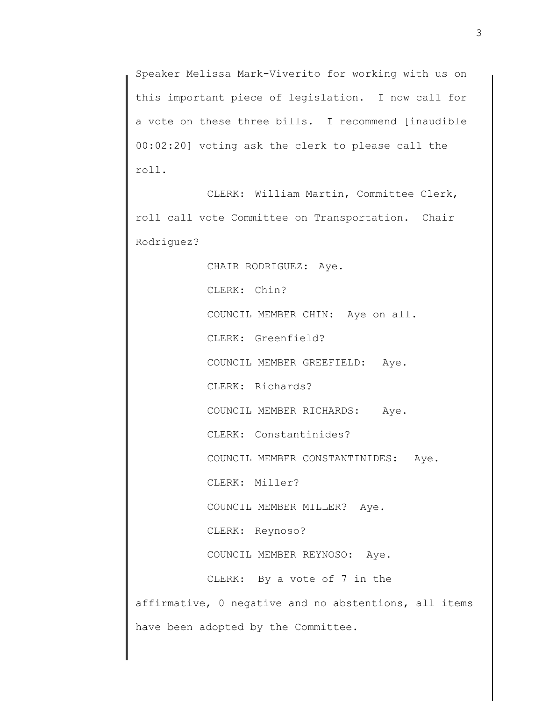Speaker Melissa Mark-Viverito for working with us on this important piece of legislation. I now call for a vote on these three bills. I recommend [inaudible 00:02:20] voting ask the clerk to please call the roll.

CLERK: William Martin, Committee Clerk, roll call vote Committee on Transportation. Chair Rodriguez?

CHAIR RODRIGUEZ: Aye. CLERK: Chin? COUNCIL MEMBER CHIN: Aye on all. CLERK: Greenfield? COUNCIL MEMBER GREEFIELD: Aye. CLERK: Richards? COUNCIL MEMBER RICHARDS: Aye. CLERK: Constantinides? COUNCIL MEMBER CONSTANTINIDES: Aye. CLERK: Miller? COUNCIL MEMBER MILLER? Aye. CLERK: Reynoso? COUNCIL MEMBER REYNOSO: Aye. CLERK: By a vote of 7 in the affirmative, 0 negative and no abstentions, all items have been adopted by the Committee.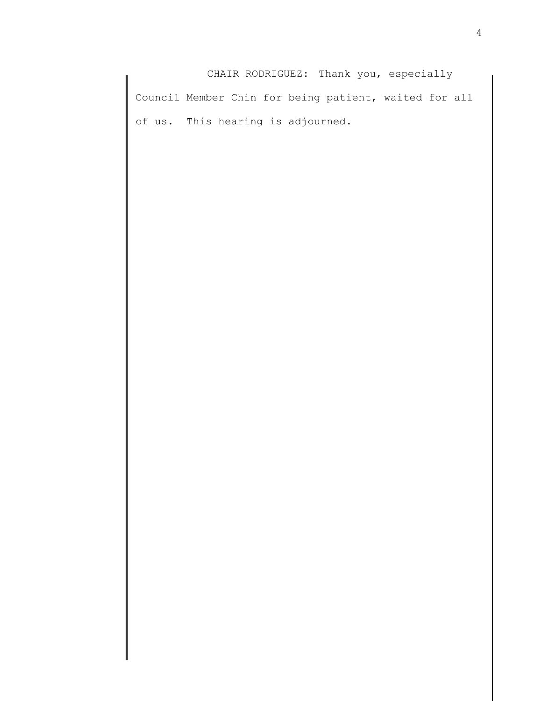CHAIR RODRIGUEZ: Thank you, especially Council Member Chin for being patient, waited for all of us. This hearing is adjourned.